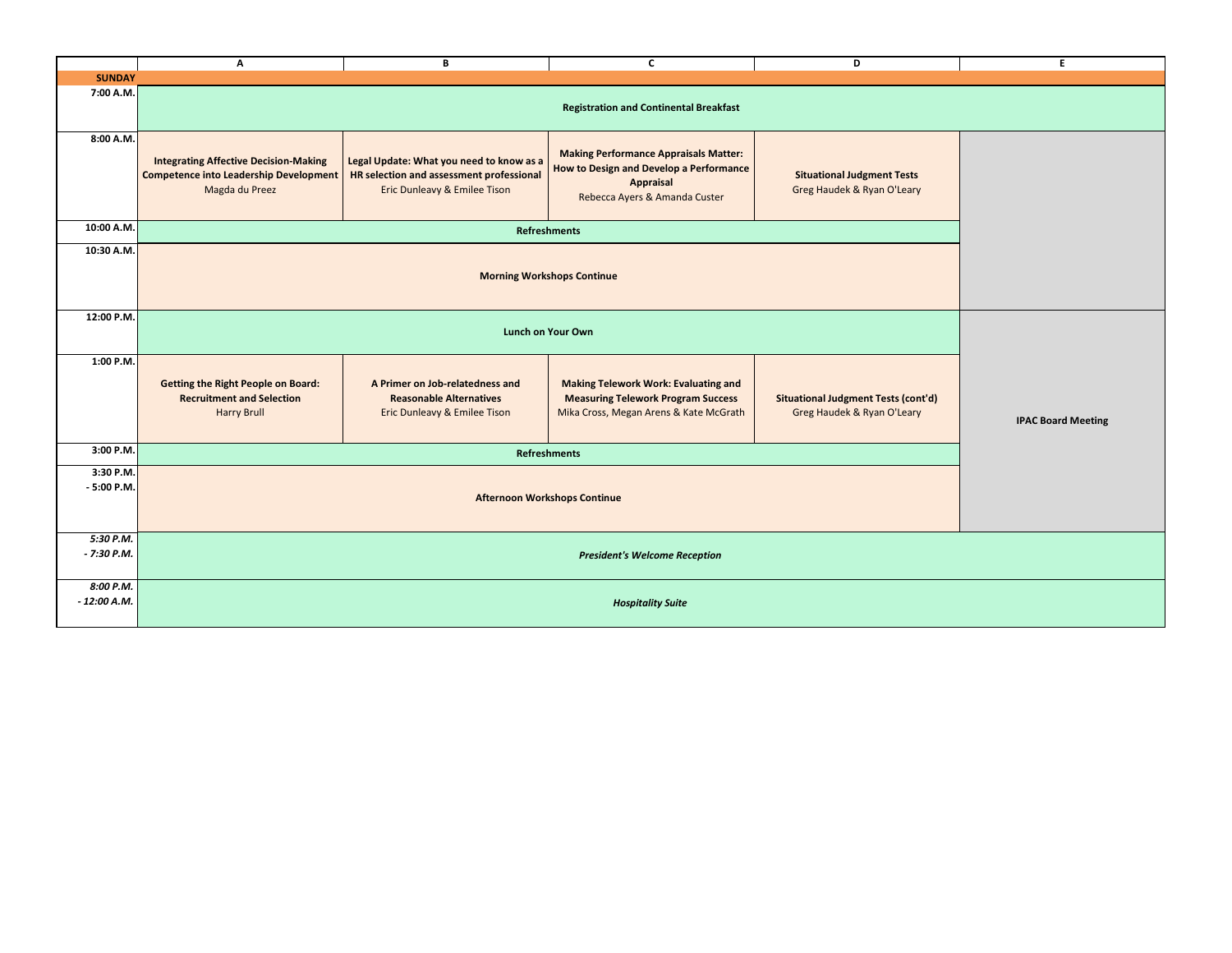|                            | $\mathsf{A}$                                                                                                    | В                                                                                                                    | C                                                                                                                                            | D                                                                        | E.                        |  |
|----------------------------|-----------------------------------------------------------------------------------------------------------------|----------------------------------------------------------------------------------------------------------------------|----------------------------------------------------------------------------------------------------------------------------------------------|--------------------------------------------------------------------------|---------------------------|--|
| <b>SUNDAY</b>              |                                                                                                                 |                                                                                                                      |                                                                                                                                              |                                                                          |                           |  |
| 7:00 A.M.                  | <b>Registration and Continental Breakfast</b>                                                                   |                                                                                                                      |                                                                                                                                              |                                                                          |                           |  |
| 8:00 A.M.                  | <b>Integrating Affective Decision-Making</b><br><b>Competence into Leadership Development</b><br>Magda du Preez | Legal Update: What you need to know as a<br>HR selection and assessment professional<br>Eric Dunleavy & Emilee Tison | <b>Making Performance Appraisals Matter:</b><br><b>How to Design and Develop a Performance</b><br>Appraisal<br>Rebecca Ayers & Amanda Custer | <b>Situational Judgment Tests</b><br>Greg Haudek & Ryan O'Leary          |                           |  |
| 10:00 A.M.                 | <b>Refreshments</b>                                                                                             |                                                                                                                      |                                                                                                                                              |                                                                          |                           |  |
| 10:30 A.M.                 |                                                                                                                 |                                                                                                                      |                                                                                                                                              |                                                                          |                           |  |
|                            | <b>Morning Workshops Continue</b>                                                                               |                                                                                                                      |                                                                                                                                              |                                                                          |                           |  |
| 12:00 P.M.                 | <b>Lunch on Your Own</b>                                                                                        |                                                                                                                      |                                                                                                                                              |                                                                          |                           |  |
| 1:00 P.M.                  | <b>Getting the Right People on Board:</b><br><b>Recruitment and Selection</b><br><b>Harry Brull</b>             | A Primer on Job-relatedness and<br><b>Reasonable Alternatives</b><br>Eric Dunleavy & Emilee Tison                    | <b>Making Telework Work: Evaluating and</b><br><b>Measuring Telework Program Success</b><br>Mika Cross, Megan Arens & Kate McGrath           | <b>Situational Judgment Tests (cont'd)</b><br>Greg Haudek & Ryan O'Leary | <b>IPAC Board Meeting</b> |  |
| 3:00 P.M.                  | <b>Refreshments</b>                                                                                             |                                                                                                                      |                                                                                                                                              |                                                                          |                           |  |
| 3:30 P.M.<br>$-5:00$ P.M.  | <b>Afternoon Workshops Continue</b>                                                                             |                                                                                                                      |                                                                                                                                              |                                                                          |                           |  |
| 5:30 P.M.<br>$-7:30$ P.M.  | <b>President's Welcome Reception</b>                                                                            |                                                                                                                      |                                                                                                                                              |                                                                          |                           |  |
| 8:00 P.M.<br>$-12:00$ A.M. | <b>Hospitality Suite</b>                                                                                        |                                                                                                                      |                                                                                                                                              |                                                                          |                           |  |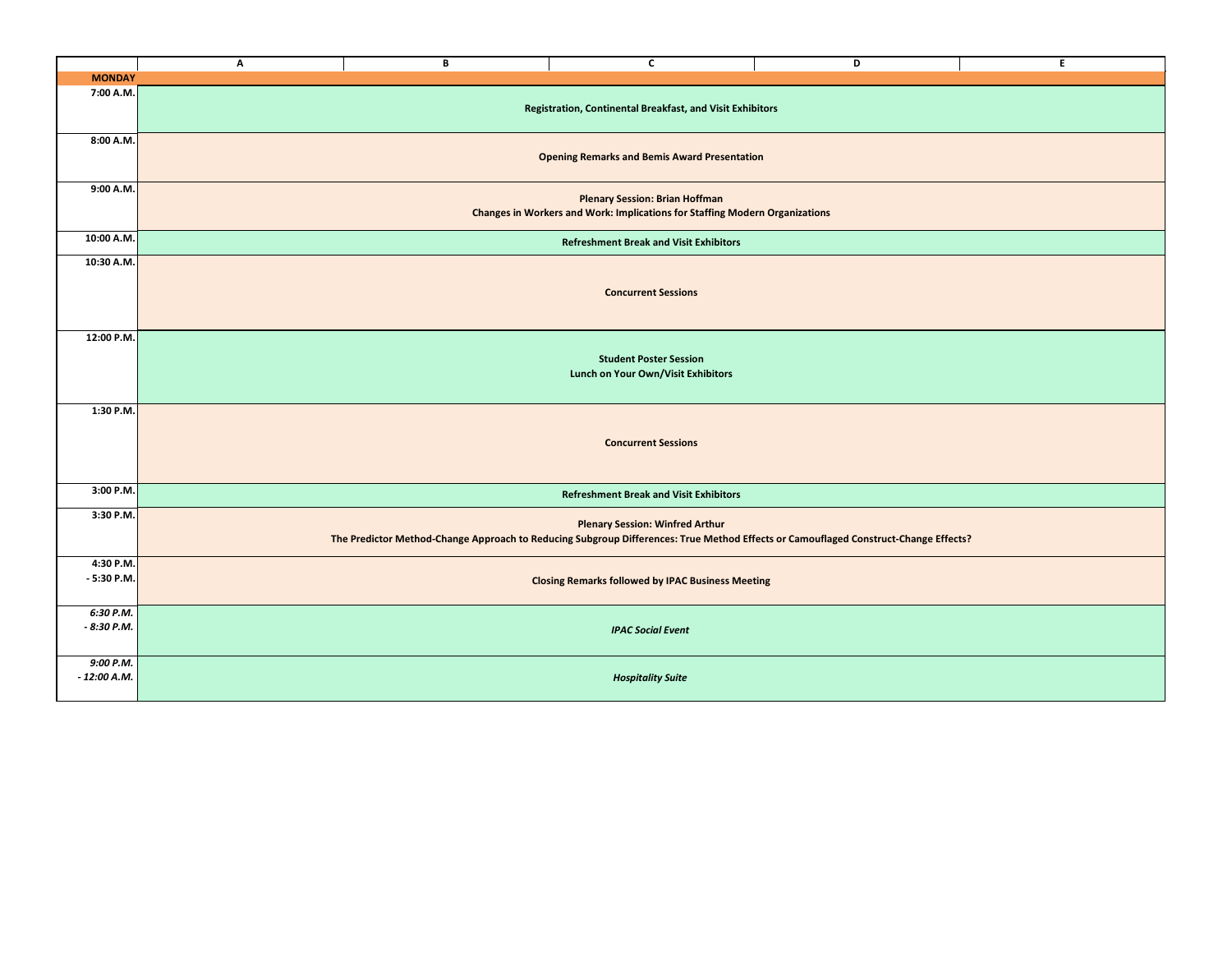|                            | Α                                                                                                                                                                             | B | C                                                        | D | E |  |
|----------------------------|-------------------------------------------------------------------------------------------------------------------------------------------------------------------------------|---|----------------------------------------------------------|---|---|--|
| <b>MONDAY</b>              |                                                                                                                                                                               |   |                                                          |   |   |  |
| 7:00 A.M.                  | Registration, Continental Breakfast, and Visit Exhibitors                                                                                                                     |   |                                                          |   |   |  |
| 8:00 A.M.                  | <b>Opening Remarks and Bemis Award Presentation</b>                                                                                                                           |   |                                                          |   |   |  |
| 9:00 A.M.                  | <b>Plenary Session: Brian Hoffman</b><br><b>Changes in Workers and Work: Implications for Staffing Modern Organizations</b>                                                   |   |                                                          |   |   |  |
| 10:00 A.M.                 | <b>Refreshment Break and Visit Exhibitors</b>                                                                                                                                 |   |                                                          |   |   |  |
| 10:30 A.M.                 | <b>Concurrent Sessions</b>                                                                                                                                                    |   |                                                          |   |   |  |
| 12:00 P.M.                 | <b>Student Poster Session</b><br>Lunch on Your Own/Visit Exhibitors                                                                                                           |   |                                                          |   |   |  |
| 1:30 P.M.                  |                                                                                                                                                                               |   | <b>Concurrent Sessions</b>                               |   |   |  |
| 3:00 P.M.                  | <b>Refreshment Break and Visit Exhibitors</b>                                                                                                                                 |   |                                                          |   |   |  |
| 3:30 P.M.                  | <b>Plenary Session: Winfred Arthur</b><br>The Predictor Method-Change Approach to Reducing Subgroup Differences: True Method Effects or Camouflaged Construct-Change Effects? |   |                                                          |   |   |  |
| 4:30 P.M.<br>$-5:30$ P.M.  |                                                                                                                                                                               |   | <b>Closing Remarks followed by IPAC Business Meeting</b> |   |   |  |
| 6:30 P.M.<br>$-8:30$ P.M.  | <b>IPAC Social Event</b>                                                                                                                                                      |   |                                                          |   |   |  |
| 9:00 P.M.<br>$-12:00$ A.M. |                                                                                                                                                                               |   | <b>Hospitality Suite</b>                                 |   |   |  |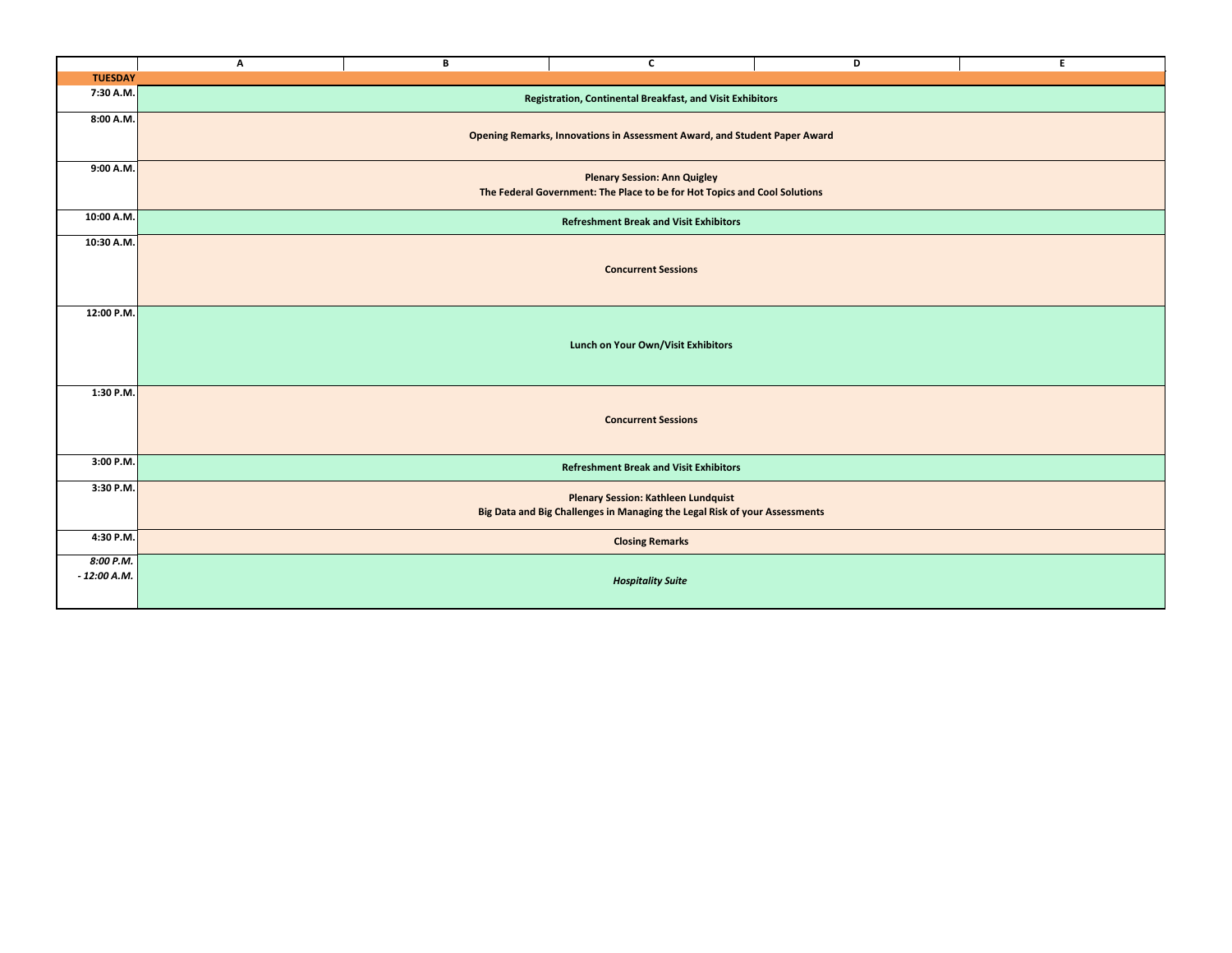|                            | А                                                                                                                        | B | C                        | D | E |  |
|----------------------------|--------------------------------------------------------------------------------------------------------------------------|---|--------------------------|---|---|--|
| <b>TUESDAY</b>             |                                                                                                                          |   |                          |   |   |  |
| 7:30 A.M.                  | Registration, Continental Breakfast, and Visit Exhibitors                                                                |   |                          |   |   |  |
| 8:00 A.M.                  | Opening Remarks, Innovations in Assessment Award, and Student Paper Award                                                |   |                          |   |   |  |
| 9:00 A.M.                  | <b>Plenary Session: Ann Quigley</b><br>The Federal Government: The Place to be for Hot Topics and Cool Solutions         |   |                          |   |   |  |
| 10:00 A.M.                 | <b>Refreshment Break and Visit Exhibitors</b>                                                                            |   |                          |   |   |  |
| 10:30 A.M.                 | <b>Concurrent Sessions</b>                                                                                               |   |                          |   |   |  |
| 12:00 P.M.                 | Lunch on Your Own/Visit Exhibitors                                                                                       |   |                          |   |   |  |
| 1:30 P.M.                  | <b>Concurrent Sessions</b>                                                                                               |   |                          |   |   |  |
| 3:00 P.M.                  | <b>Refreshment Break and Visit Exhibitors</b>                                                                            |   |                          |   |   |  |
| 3:30 P.M.                  | <b>Plenary Session: Kathleen Lundquist</b><br>Big Data and Big Challenges in Managing the Legal Risk of your Assessments |   |                          |   |   |  |
| 4:30 P.M.                  | <b>Closing Remarks</b>                                                                                                   |   |                          |   |   |  |
| 8:00 P.M.<br>$-12:00$ A.M. |                                                                                                                          |   | <b>Hospitality Suite</b> |   |   |  |